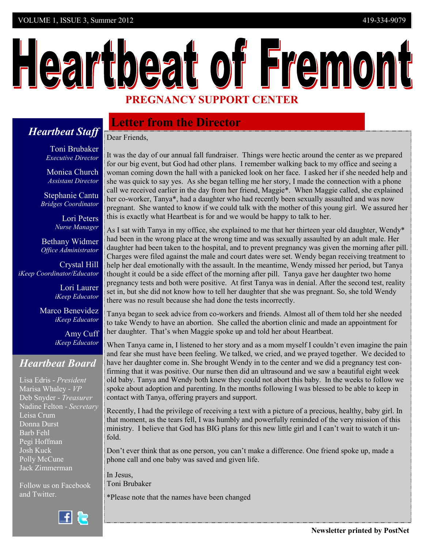# Heartbeat of Fremont **PREGNANCY SUPPORT CENTER**

## **Letter from the Director**

*Heartbeat Staff* Dear Friends,

> Toni Brubaker *Executive Director*

Monica Church *Assistant Director*

Stephanie Cantu  *Bridges Coordinator* 

> Lori Peters *Nurse Manager*

Bethany Widmer *Office Administrator*

Crystal Hill *iKeep Coordinator/Educator*

> Lori Laurer *iKeep Educator*

Marco Benevidez *iKeep Educator*

> Amy Cuff *iKeep Educator*

## *Heartbeat Board*

Lisa Edris - *President* Marisa Whaley - *VP* Deb Snyder - *Treasurer* Nadine Felton - *Secretary* Leisa Crum Donna Durst Barb Fehl Pegi Hoffman Josh Kuck Polly McCune Jack Zimmerman

Follow us on Facebook and Twitter.

f R

It was the day of our annual fall fundraiser. Things were hectic around the center as we prepared for our big event, but God had other plans. I remember walking back to my office and seeing a woman coming down the hall with a panicked look on her face. I asked her if she needed help and she was quick to say yes. As she began telling me her story, I made the connection with a phone call we received earlier in the day from her friend, Maggie\*. When Maggie called, she explained her co-worker, Tanya\*, had a daughter who had recently been sexually assaulted and was now pregnant. She wanted to know if we could talk with the mother of this young girl. We assured her this is exactly what Heartbeat is for and we would be happy to talk to her.

As I sat with Tanya in my office, she explained to me that her thirteen year old daughter, Wendy\* had been in the wrong place at the wrong time and was sexually assaulted by an adult male. Her daughter had been taken to the hospital, and to prevent pregnancy was given the morning after pill. Charges were filed against the male and court dates were set. Wendy began receiving treatment to help her deal emotionally with the assault. In the meantime, Wendy missed her period, but Tanya thought it could be a side effect of the morning after pill. Tanya gave her daughter two home pregnancy tests and both were positive. At first Tanya was in denial. After the second test, reality set in, but she did not know how to tell her daughter that she was pregnant. So, she told Wendy there was no result because she had done the tests incorrectly.

Tanya began to seek advice from co-workers and friends. Almost all of them told her she needed to take Wendy to have an abortion. She called the abortion clinic and made an appointment for her daughter. That's when Maggie spoke up and told her about Heartbeat.

When Tanya came in, I listened to her story and as a mom myself I couldn't even imagine the pain and fear she must have been feeling. We talked, we cried, and we prayed together. We decided to have her daughter come in. She brought Wendy in to the center and we did a pregnancy test confirming that it was positive. Our nurse then did an ultrasound and we saw a beautiful eight week old baby. Tanya and Wendy both knew they could not abort this baby. In the weeks to follow we spoke about adoption and parenting. In the months following I was blessed to be able to keep in contact with Tanya, offering prayers and support.

Recently, I had the privilege of receiving a text with a picture of a precious, healthy, baby girl. In that moment, as the tears fell, I was humbly and powerfully reminded of the very mission of this ministry. I believe that God has BIG plans for this new little girl and I can't wait to watch it unfold.

Don't ever think that as one person, you can't make a difference. One friend spoke up, made a phone call and one baby was saved and given life.

In Jesus, Toni Brubaker

\*Please note that the names have been changed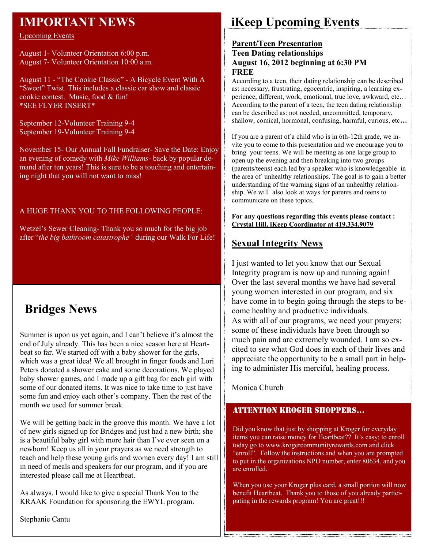## **IMPORTANT NEWS**

Upcoming Events

August 1- Volunteer Orientation 6:00 p.m. August 7- Volunteer Orientation 10:00 a.m.

August 11 - "The Cookie Classic" - A Bicycle Event With A "Sweet" Twist. This includes a classic car show and classic cookie contest. Music, food & fun! \*SEE FLYER INSERT\*

September 12-Volunteer Training 9-4 September 19-Volunteer Training 9-4

November 15- Our Annual Fall Fundraiser- Save the Date: Enjoy an evening of comedy with *Mike Williams*- back by popular demand after ten years! This is sure to be a touching and entertaining night that you will not want to miss!

#### A HUGE THANK YOU TO THE FOLLOWING PEOPLE:

Wetzel's Sewer Cleaning- Thank you so much for the big job after "*the big bathroom catastrophe"* during our Walk For Life!

# **Bridges News**

Summer is upon us yet again, and I can't believe it's almost the end of July already. This has been a nice season here at Heartbeat so far. We started off with a baby shower for the girls, which was a great idea! We all brought in finger foods and Lori Peters donated a shower cake and some decorations. We played baby shower games, and I made up a gift bag for each girl with some of our donated items. It was nice to take time to just have some fun and enjoy each other's company. Then the rest of the month we used for summer break.

We will be getting back in the groove this month. We have a lot of new girls signed up for Bridges and just had a new birth; she is a beautiful baby girl with more hair than I've ever seen on a newborn! Keep us all in your prayers as we need strength to teach and help these young girls and women every day! I am still in need of meals and speakers for our program, and if you are interested please call me at Heartbeat.

As always, I would like to give a special Thank You to the KRAAK Foundation for sponsoring the EWYL program.

Stephanie Cantu

# **iKeep Upcoming Events**

#### **Parent/Teen Presentation Teen Dating relationships August 16, 2012 beginning at 6:30 PM FREE**

According to a teen, their dating relationship can be described as: necessary, frustrating, egocentric, inspiring, a learning experience, different, work, emotional, true love, awkward, etc… According to the parent of a teen, the teen dating relationship can be described as: not needed, uncommitted, temporary, shallow, comical, hormonal, confusing, harmful, curious, etc**…**

If you are a parent of a child who is in 6th-12th grade, we invite you to come to this presentation and we encourage you to bring your teens. We will be meeting as one large group to open up the evening and then breaking into two groups (parents/teens) each led by a speaker who is knowledgeable in the area of unhealthy relationships. The goal is to gain a better understanding of the warning signs of an unhealthy relationship. We will also look at ways for parents and teens to communicate on these topics.

**For any questions regarding this events please contact : Crystal Hill, iKeep Coordinator at 419.334.9079** 

## **Sexual Integrity News**

I just wanted to let you know that our Sexual Integrity program is now up and running again! Over the last several months we have had several young women interested in our program, and six have come in to begin going through the steps to become healthy and productive individuals. As with all of our programs, we need your prayers; some of these individuals have been through so much pain and are extremely wounded. I am so excited to see what God does in each of their lives and appreciate the opportunity to be a small part in helping to administer His merciful, healing process.

Monica Church

## ATTENTION KROGER SHOPPERS…

Did you know that just by shopping at Kroger for everyday items you can raise money for Heartbeat?? It's easy; to enroll today go to www.krogercommunityrewards.com and click "enroll". Follow the instructions and when you are prompted to put in the organizations NPO number, enter 80634, and you are enrolled.

When you use your Kroger plus card, a small portion will now benefit Heartbeat. Thank you to those of you already participating in the rewards program! You are great!!!

<u> 1999 - 1999 - 1999 - 1999 - 1999 - 1999 - 1999 - 1999 - 1999 - 1999 - 1999 - 1999 - 1999 - 1999 - 1999 - 1999 - 1999 - 1999 - 1999 - 1999 - 1999 - 1999 - 1999 - 1999 - 1999 - 1999 - 1999 - 1999 - 1999 - 1999 - 1999 - 199</u>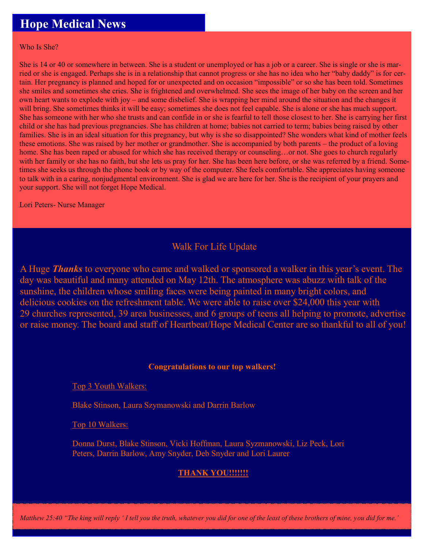# **Hope Medical News**

Who Is She?

She is 14 or 40 or somewhere in between. She is a student or unemployed or has a job or a career. She is single or she is married or she is engaged. Perhaps she is in a relationship that cannot progress or she has no idea who her "baby daddy" is for certain. Her pregnancy is planned and hoped for or unexpected and on occasion "impossible" or so she has been told. Sometimes she smiles and sometimes she cries. She is frightened and overwhelmed. She sees the image of her baby on the screen and her own heart wants to explode with joy – and some disbelief. She is wrapping her mind around the situation and the changes it will bring. She sometimes thinks it will be easy; sometimes she does not feel capable. She is alone or she has much support. She has someone with her who she trusts and can confide in or she is fearful to tell those closest to her. She is carrying her first child or she has had previous pregnancies. She has children at home; babies not carried to term; babies being raised by other families. She is in an ideal situation for this pregnancy, but why is she so disappointed? She wonders what kind of mother feels these emotions. She was raised by her mother or grandmother. She is accompanied by both parents – the product of a loving home. She has been raped or abused for which she has received therapy or counseling...or not. She goes to church regularly with her family or she has no faith, but she lets us pray for her. She has been here before, or she was referred by a friend. Sometimes she seeks us through the phone book or by way of the computer. She feels comfortable. She appreciates having someone to talk with in a caring, nonjudgmental environment. She is glad we are here for her. She is the recipient of your prayers and your support. She will not forget Hope Medical.

Lori Peters- Nurse Manager

## Walk For Life Update

A Huge *Thanks* to everyone who came and walked or sponsored a walker in this year's event. The day was beautiful and many attended on May 12th. The atmosphere was abuzz with talk of the sunshine, the children whose smiling faces were being painted in many bright colors, and delicious cookies on the refreshment table. We were able to raise over \$24,000 this year with 29 churches represented, 39 area businesses, and 6 groups of teens all helping to promote, advertise or raise money. The board and staff of Heartbeat/Hope Medical Center are so thankful to all of you!

#### **Congratulations to our top walkers!**

Top 3 Youth Walkers:

Blake Stinson, Laura Szymanowski and Darrin Barlow

Top 10 Walkers:

Donna Durst, Blake Stinson, Vicki Hoffman, Laura Syzmanowski, Liz Peck, Lori Peters, Darrin Barlow, Amy Snyder, Deb Snyder and Lori Laurer

## **THANK YOU!!!!!!!**

*Matthew 25:40 "The king will reply ' I tell you the truth, whatever you did for one of the least of these brothers of mine, you did for me.'*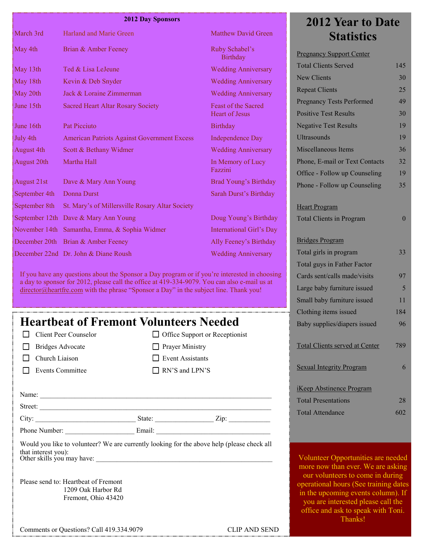#### **2012 Day Sponsors**

| March 3rd         | Harland and Marie Green                            | <b>Matthew David Green</b>                          |
|-------------------|----------------------------------------------------|-----------------------------------------------------|
| May 4th           | Brian & Amber Feeney                               | Ruby Schabel's<br><b>Birthday</b>                   |
| May 13th          | Ted & Lisa LeJeune                                 | <b>Wedding Anniversary</b>                          |
| May 18th          | Kevin & Deb Snyder                                 | <b>Wedding Anniversary</b>                          |
| May 20th          | Jack & Loraine Zimmerman                           | <b>Wedding Anniversary</b>                          |
| June 15th         | <b>Sacred Heart Altar Rosary Society</b>           | <b>Feast of the Sacred</b><br><b>Heart of Jesus</b> |
| June 16th         | <b>Pat Picciuto</b>                                | <b>Birthday</b>                                     |
| July 4th          | <b>American Patriots Against Government Excess</b> | <b>Independence Day</b>                             |
| <b>August 4th</b> | Scott & Bethany Widmer                             | <b>Wedding Anniversary</b>                          |
| August 20th       | Martha Hall                                        | In Memory of Lucy<br>Fazzini                        |
| August 21st       | Dave & Mary Ann Young                              | Brad Young's Birthday                               |
| September 4th     | <b>Donna Durst</b>                                 | Sarah Durst's Birthday                              |
| September 8th     | St. Mary's of Millersville Rosary Altar Society    |                                                     |
| September 12th    | Dave & Mary Ann Young                              | Doug Young's Birthday                               |
| November 14th     | Samantha, Emma, & Sophia Widmer                    | <b>International Girl's Day</b>                     |
| December 20th     | Brian & Amber Feeney                               | Ally Feeney's Birthday                              |
|                   | December 22nd Dr. John & Diane Roush               | <b>Wedding Anniversary</b>                          |

If you have any questions about the Sponsor a Day program or if you're interested in choosing a day to sponsor for 2012, please call the office at 419-334-9079. You can also e-mail us at [director@heartfre.com](mailto:director@heartfre.com) with the phrase "Sponsor a Day" in the subject line. Thank you!

## **Heartbeat of Fremont Volunteers Needed**

- **Bridges Advocate**
- $\Box$  Church Liaison
- Events Committee

 $\Box$  Office Support or Receptionist **Prayer Ministry** Event Assistants

RN'S and LPN'S

Name: Street:  $City:$   $\qquad \qquad \qquad$  State:  $\qquad \qquad$   $\qquad \qquad$  Zip:  $\qquad \qquad$ 

Phone Number: Email:

Would you like to volunteer? We are currently looking for the above help (please check all that interest you): Other skills you may have:

Please send to: Heartbeat of Fremont 1209 Oak Harbor Rd Fremont, Ohio 43420

Comments or Questions? Call 419.334.9079 CLIP AND SEND

# **2012 Year to Date Statistics**

| <b>Pregnancy Support Center</b>       |     |
|---------------------------------------|-----|
| <b>Total Clients Served</b>           | 145 |
| <b>New Clients</b>                    | 30  |
| <b>Repeat Clients</b>                 | 25  |
| <b>Pregnancy Tests Performed</b>      | 49  |
| <b>Positive Test Results</b>          | 30  |
| <b>Negative Test Results</b>          | 19  |
| <b>Ultrasounds</b>                    | 19  |
| Miscellaneous Items                   | 36  |
| Phone, E-mail or Text Contacts        | 32  |
| Office - Follow up Counseling         | 19  |
| Phone - Follow up Counseling          | 35  |
|                                       |     |
| <b>Heart Program</b>                  |     |
| <b>Total Clients in Program</b>       | 0   |
|                                       |     |
| <b>Bridges Program</b>                |     |
| Total girls in program                | 33  |
| Total guys in Father Factor           |     |
| Cards sent/calls made/visits          | 97  |
| Large baby furniture issued           | 5   |
| Small baby furniture issued           | 11  |
| Clothing items issued                 | 184 |
| Baby supplies/diapers issued          | 96  |
| <b>Total Clients served at Center</b> | 789 |
|                                       |     |
| <b>Sexual Integrity Program</b>       | 6   |
|                                       |     |
| <b>iKeep Abstinence Program</b>       |     |
| <b>Total Presentations</b>            | 28  |
| <b>Total Attendance</b>               | 602 |

Volunteer Opportunities are needed more now than ever. We are asking our volunteers to come in during operational hours (See training dates in the upcoming events column). If you are interested please call the office and ask to speak with Toni. Thanks!